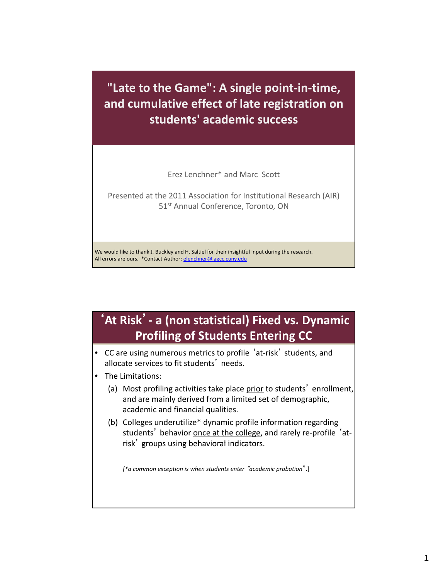**"Late to the Game": A single point‐in‐time, and cumulative effect of late registration on students' academic success**

Erez Lenchner\* and Marc Scott

 Presented at the 2011 Association for Institutional Research (AIR) 51<sup>st</sup> Annual Conference, Toronto, ON

 We would like to thank J. Buckley and H. Saltiel for their insightful input during the research. All errors are ours. \*Contact Author: **[elenchner@lagcc.cuny.edu](mailto:elenchner@lagcc.cuny.edu)** 

## '**At Risk**'**‐ a (non statistical) Fixed vs. Dynamic Profiling of Students Entering CC**

- CC are using numerous metrics to profile 'at‐risk' students, and allocate services to fit students' needs.
- The Limitations:
	- (a) Most profiling activities take place prior to students' enrollment, and are mainly derived from a limited set of demographic, academic and financial qualities.
	- (b) Colleges underutilize\* dynamic profile information regarding students' behavior <u>once at the college</u>, and rarely re-profile 'atrisk' groups using behavioral indicators.

 *[\*a common exception is when students enter* "*academic probation*".]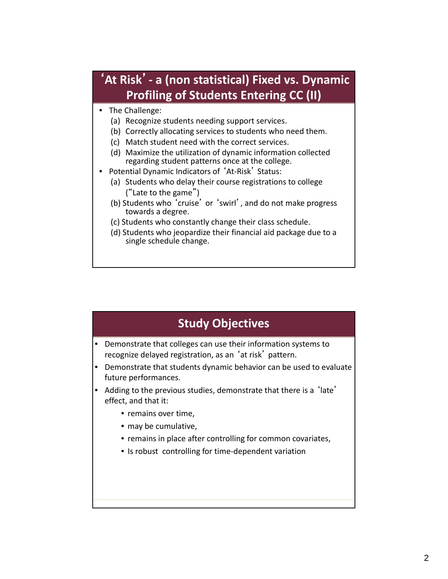## '**At Risk**'**‐ a (non statistical) Fixed vs. Dynamic Profiling of Students Entering CC (II)**

- The Challenge:
	- (a) Recognize students needing support services.
	- (b) Correctly allocating services to students who need them.
	- (c) Match student need with the correct services.
	- (d) Maximize the utilization of dynamic information collected regarding student patterns once at the college.
- • Potential Dynamic Indicators of 'At‐Risk' Status:
	- (a) Students who delay their course registrations to college ("Late to the game")
	- (b) Students who 'cruise' or 'swirl', and do not make progress towards a degree.
	- (c) Students who constantly change their class schedule.
	- (d) Students who jeopardize their financial aid package due to a single schedule change.

## **Study Objectives**

- Demonstrate that colleges can use their information systems to recognize delayed registration, as an 'at risk' pattern.
- • Demonstrate that students dynamic behavior can be used to evaluate future performances.
- • Adding to the previous studies, demonstrate that there is a 'late' effect, and that it:
	- remains over time,
	- may be cumulative,
	- remains in place after controlling for common covariates,
	- Is robust controlling for time‐dependent variation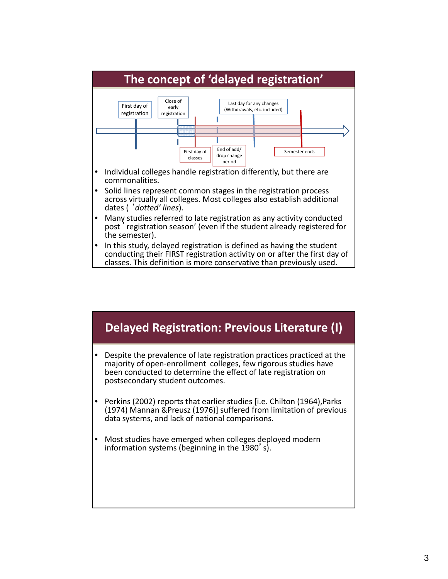

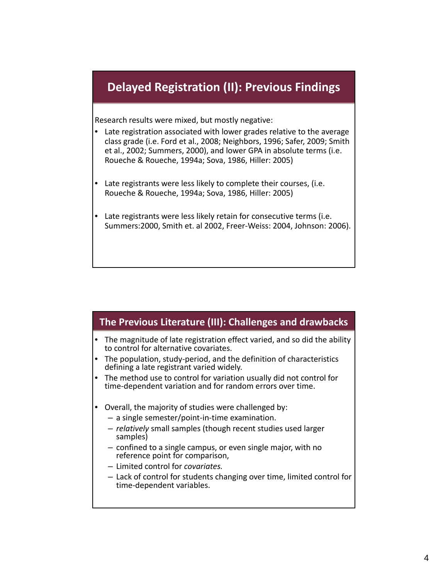## **Delayed Registration (II): Previous Findings**

Research results were mixed, but mostly negative:

- • Late registration associated with lower grades relative to the average class grade (i.e. Ford et al., 2008; Neighbors, 1996; Safer, 2009; Smith et al., 2002; Summers, 2000), and lower GPA in absolute terms (i.e. Roueche & Roueche, 1994a; Sova, 1986, Hiller: 2005)
- • Late registrants were less likely to complete their courses, (i.e. Roueche & Roueche, 1994a; Sova, 1986, Hiller: 2005)
- • Late registrants were less likely retain for consecutive terms (i.e. Summers:2000, Smith et. al 2002, Freer‐Weiss: 2004, Johnson: 2006).

#### **The Previous Literature (III): Challenges and drawbacks**

- The magnitude of late registration effect varied, and so did the ability to control for alternative covariates. •
- The population, study‐period, and the definition of characteristics defining a late registrant varied widely.
- The method use to control for variation usually did not control for<br>time-dependent variation and for random errors over time. • time‐dependent variation and for random errors over time.
- Overall, the majority of studies were challenged by:
	- a single semester/point‐in‐time examination.
	- – *relatively* small samples (though recent studies used larger samples)
	- confined to a single campus, or even single major, with no reference point for comparison,
	- Limited control for *covariates.*
	- Lack of control for students changing over time, limited control for time‐dependent variables.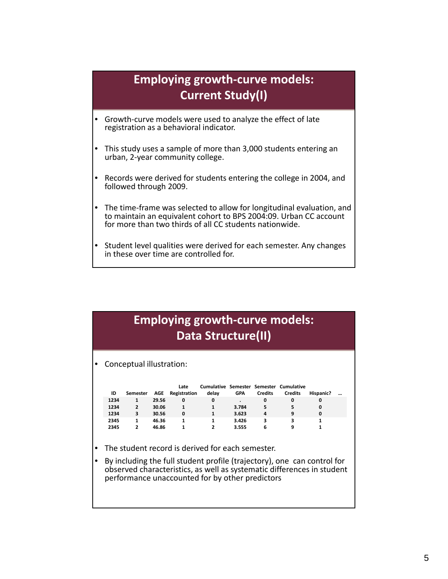## **Employing growth‐curve models: Current Study(I)**

- • Growth‐curve models were used to analyze the effect of late registration as a behavioral indicator.
- This study uses a sample of more than 3,000 students entering an urban, 2‐year community college.
- Records were derived for students entering the college in 2004, and followed through 2009. •
- • The time‐frame was selected to allow for longitudinal evaluation, and to maintain an equivalent cohort to BPS 2004:09. Urban CC account for more than two thirds of all CC students nationwide.
- Student level qualities were derived for each semester. Any changes<br>in these over time are controlled for. • in these over time are controlled for.

## **Employing growth‐curve models: Data Structure(II)**

• Conceptual illustration:

| ID   | Semester       | AGE   | Late<br>Registration | delav | <b>GPA</b> | <b>Credits</b> | Cumulative Semester Semester Cumulative<br><b>Credits</b> | Hispanic? | $\cdots$ |
|------|----------------|-------|----------------------|-------|------------|----------------|-----------------------------------------------------------|-----------|----------|
| 1234 |                | 29.56 | 0                    | 0     |            | 0              | 0                                                         | 0         |          |
| 1234 | $\overline{2}$ | 30.06 |                      |       | 3.784      | 5              | 5                                                         | 0         |          |
| 1234 | 3              | 30.56 | 0                    | 1     | 3.623      | 4              | 9                                                         | 0         |          |
| 2345 | 1              | 46.36 |                      | 1     | 3.426      | 3              |                                                           |           |          |
| 2345 | 2              | 46.86 |                      |       | 3.555      | 6              | q                                                         |           |          |

- The student record is derived for each semester.
- By including the full student profile (trajectory), one can control for<br>observed characteristics, as well as systematic differences in student performance unaccounted for by other predictors • By including the full student profile (trajectory), one can control for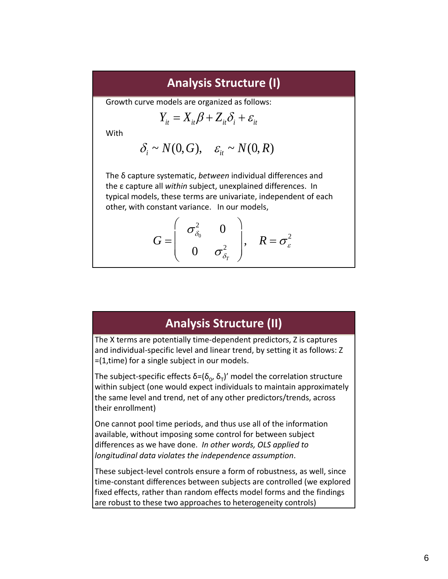#### **Analysis Structure (I)**

Growth curve models are organized as follows:

$$
Y_{it} = X_{it} \beta + Z_{it} \delta_i + \varepsilon_{it}
$$

**With** 

$$
\delta_i \sim N(0, G), \quad \varepsilon_{it} \sim N(0, R)
$$

 The δ capture systematic, *between* individual differences and the ε capture all *within* subject, unexplained differences. In typical models, these terms are univariate, independent of each other, with constant variance. In our models,

$$
G = \left(\begin{array}{cc} \sigma_{\delta_0}^2 & 0 \\ 0 & \sigma_{\delta_r}^2 \end{array}\right), \quad R = \sigma_{\varepsilon}^2
$$

#### **Analysis Structure (II)**

 The X terms are potentially time‐dependent predictors, Z is captures and individual‐specific level and linear trend, by setting it as follows: Z =(1,time) for a single subject in our models.

The subject-specific effects δ=( $\delta_{\text{o}}$ , δ<sub>T</sub>)' model the correlation structure within subject (one would expect individuals to maintain approximately the same level and trend, net of any other predictors/trends, across their enrollment)

 One cannot pool time periods, and thus use all of the information available, without imposing some control for between subject  differences as we have done. *In other words, OLS applied to longitudinal data violates the independence assumption*.

 These subject‐level controls ensure a form of robustness, as well, since time‐constant differences between subjects are controlled (we explored fixed effects, rather than random effects model forms and the findings are robust to these two approaches to heterogeneity controls)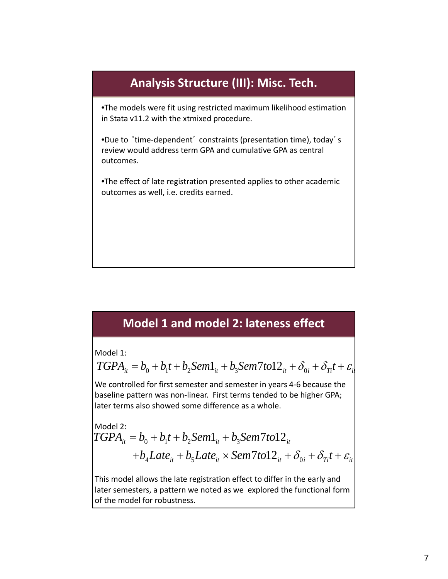# **Analysis Structure (III): Misc. Tech.** •The models were fit using restricted maximum likelihood estimation in Stata v11.2 with the xtmixed procedure. •Due to 'time‐dependent' constraints (presentation time), today's review would address term GPA and cumulative GPA as central •The effect of late registration presented applies to other academic outcomes as well, i.e. credits earned. outcomes.

## **Model 1 and model 2: lateness effect**

Model 1:

 $TGPA_{it} = b_0 + b_1t + b_2Sem1_{it} + b_3Sem7tol2_{it} + \delta_{0i} + \delta_{Tt}t + \varepsilon_{it}$ 

 We controlled for first semester and semester in years 4‐6 because the baseline pattern was non‐linear. First terms tended to be higher GPA; later terms also showed some difference as a whole.

Model 2:  
\n
$$
TGPA_{it} = b_0 + b_1t + b_2 Sem1_{it} + b_3 Sem7t012_{it}
$$
  
\n $+b_4 Late_{it} + b_5 Late_{it} \times Sem7t012_{it} + \delta_{0i} + \delta_{Ti}t + \varepsilon_{it}$ 

 This model allows the late registration effect to differ in the early and later semesters, a pattern we noted as we explored the functional form of the model for robustness.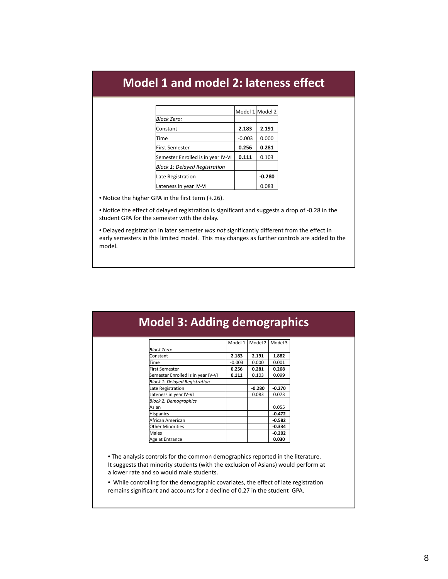### **Model 1 and model 2: lateness effect**

|                                    |          | Model 1 Model 2 |
|------------------------------------|----------|-----------------|
| <b>Block Zero:</b>                 |          |                 |
| Constant                           | 2.183    | 2.191           |
| Time                               | $-0.003$ | 0.000           |
| <b>First Semester</b>              | 0.256    | 0.281           |
| Semester Enrolled is in year IV-VI | 0.111    | 0.103           |
| Block 1: Delayed Registration      |          |                 |
| Late Registration                  |          | $-0.280$        |
| Lateness in year IV-VI             |          | 0.083           |

• Notice the higher GPA in the first term (+.26).

 • Notice the effect of delayed registration is significant and suggests a drop of ‐0.28 in the student GPA for the semester with the delay.

  • Delayed registration in later semester *was not* significantly different from the effect in early semesters in this limited model. This may changes as further controls are added to the model.

| <b>Model 3: Adding demographics</b>  |          |         |          |
|--------------------------------------|----------|---------|----------|
|                                      |          |         |          |
|                                      |          |         |          |
|                                      | Model 1  | Model 2 | Model 3  |
| Block Zero:                          |          |         |          |
| Constant                             | 2.183    | 2.191   | 1.882    |
| Time                                 | $-0.003$ | 0.000   | 0.001    |
| <b>First Semester</b>                | 0.256    | 0.281   | 0.268    |
| Semester Enrolled is in year IV-VI   | 0.111    | 0.103   | 0.099    |
| <b>Block 1: Delayed Registration</b> |          |         |          |
| Late Registration                    |          | -0.280  | $-0.270$ |
| Lateness in year IV-VI               |          | 0.083   | 0.073    |
| <b>Block 2: Demographics</b>         |          |         |          |
| Asian                                |          |         | 0.055    |
| <b>Hispanics</b>                     |          |         | $-0.472$ |
| African American                     |          |         | $-0.582$ |
| <b>Other Minorities</b>              |          |         | $-0.334$ |
| Males                                |          |         | $-0.202$ |
| Age at Entrance                      |          |         | 0.030    |

 • The analysis controls for the common demographics reported in the literature. It suggests that minority students (with the exclusion of Asians) would perform at a lower rate and so would male students.

 • While controlling for the demographic covariates, the effect of late registration remains significant and accounts for a decline of 0.27 in the student GPA.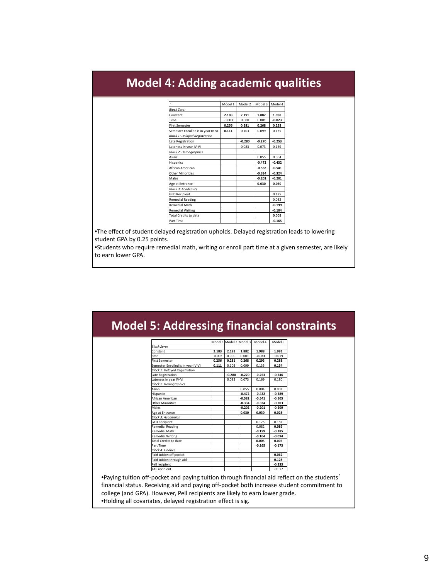## **Model 4: Adding academic qualities**

|                                      | Model 1  | Model 2  | Model 3  | Model 4  |
|--------------------------------------|----------|----------|----------|----------|
| <b>Block Zero:</b>                   |          |          |          |          |
| Constant                             | 2.183    | 2.191    | 1.882    | 1.988    |
| Time                                 | $-0.003$ | 0.000    | 0.001    | $-0.023$ |
| <b>First Semester</b>                | 0.256    | 0.281    | 0.268    | 0.293    |
| Semester Enrolled is in year IV-VI   | 0.111    | 0.103    | 0.099    | 0.135    |
| <b>Block 1: Delayed Registration</b> |          |          |          |          |
| Late Registration                    |          | $-0.280$ | $-0.270$ | $-0.253$ |
| Lateness in year IV-VI               |          | 0.083    | 0.073    | 0.169    |
| <b>Block 2: Demographics</b>         |          |          |          |          |
| Asian                                |          |          | 0.055    | 0.004    |
| <b>Hispanics</b>                     |          |          | $-0.472$ | $-0.432$ |
| African American                     |          |          | $-0.582$ | $-0.541$ |
| <b>Other Minorities</b>              |          |          | $-0.334$ | $-0.324$ |
| Males                                |          |          | $-0.202$ | $-0.201$ |
| Age at Entrance                      |          |          | 0.030    | 0.030    |
| <b>Block 3: Academics</b>            |          |          |          |          |
| <b>GED Recipient</b>                 |          |          |          | 0.175    |
| <b>Remedial Reading</b>              |          |          |          | 0.082    |
| <b>Remedial Math</b>                 |          |          |          | $-0.199$ |
| <b>Remedial Writing</b>              |          |          |          | $-0.104$ |
| <b>Total Credits to date</b>         |          |          |          | 0.005    |
| Part Time                            |          |          |          | $-0.165$ |

 •The effect of student delayed registration upholds. Delayed registration leads to lowering student GPA by 0.25 points.

 •Students who require remedial math, writing or enroll part time at a given semester, are likely to earn lower GPA.

|                                      |          |          | Model 1 Model 2 Model 3 | Model 4  | Model 5  |  |
|--------------------------------------|----------|----------|-------------------------|----------|----------|--|
| <b>Block Zero:</b>                   |          |          |                         |          |          |  |
| Constant                             | 2.183    | 2.191    | 1.882                   | 1.988    | 1.991    |  |
| time                                 | $-0.003$ | 0.000    | 0.001                   | $-0.023$ | $-0.019$ |  |
| <b>First Semester</b>                | 0.256    | 0.281    | 0.268                   | 0.293    | 0.288    |  |
| Semester Enrolled is in year IV-VI   | 0.111    | 0.103    | 0.099                   | 0.135    | 0.134    |  |
| <b>Block 1: Delayed Registration</b> |          |          |                         |          |          |  |
| Late Registration                    |          | $-0.280$ | $-0.270$                | $-0.253$ | $-0.246$ |  |
| Lateness in year IV-VI               |          | 0.083    | 0.073                   | 0.169    | 0.180    |  |
| <b>Block 2: Demographics</b>         |          |          |                         |          |          |  |
| Asian                                |          |          | 0.055                   | 0.004    | 0.001    |  |
| <b>Hispanics</b>                     |          |          | $-0.472$                | $-0.432$ | $-0.389$ |  |
| African American                     |          |          | $-0.582$                | $-0.541$ | $-0.505$ |  |
| <b>Other Minorities</b>              |          |          | $-0.334$                | $-0.324$ | $-0.303$ |  |
| Males                                |          |          | $-0.202$                | $-0.201$ | $-0.209$ |  |
| Age at Entrance                      |          |          | 0.030                   | 0.030    | 0.028    |  |
| <b>Block 3: Academics</b>            |          |          |                         |          |          |  |
| <b>GED Recipient</b>                 |          |          |                         | 0.175    | 0.181    |  |
| <b>Remedial Reading</b>              |          |          |                         | 0.082    | 0.089    |  |
| <b>Remedial Math</b>                 |          |          |                         | $-0.199$ | $-0.185$ |  |
| <b>Remedial Writing</b>              |          |          |                         | $-0.104$ | $-0.094$ |  |
| Total Credits to date                |          |          |                         | 0.005    | 0.005    |  |
| Part Time                            |          |          |                         | $-0.165$ | $-0.173$ |  |
| <b>Block 4: Finance</b>              |          |          |                         |          |          |  |
| Paid tuition off pocket              |          |          |                         |          | 0.062    |  |
| Paid tuition through aid             |          |          |                         |          | 0.128    |  |
| Pell recipient                       |          |          |                         |          | $-0.233$ |  |
| TAP recipient                        |          |          |                         |          | $-0.017$ |  |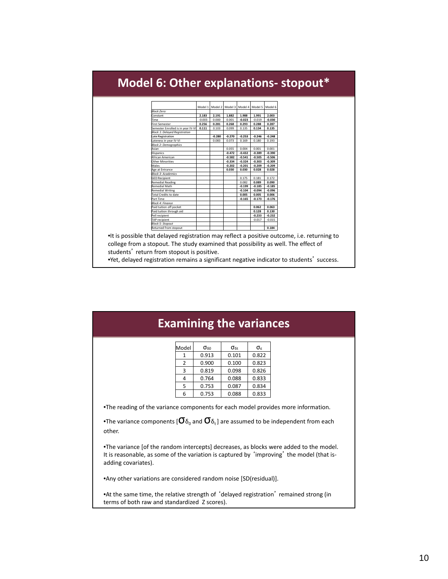#### **Model 6: Other explanations‐ stopout\***  $\sqrt{ }$  Model 1 Model 2 Model 3 Model 4 Model 5 Model 6 *Block Zero:*

|                                      |          | $1100001 + 11100001 + 11100001 + 11100001 +$ |          |          |          |          |
|--------------------------------------|----------|----------------------------------------------|----------|----------|----------|----------|
| <b>Block Zero:</b>                   |          |                                              |          |          |          |          |
| Constant                             | 2.183    | 2.191                                        | 1.882    | 1.988    | 1.991    | 2.003    |
| Time                                 | $-0.003$ | 0.000                                        | 0.001    | $-0.023$ | $-0.019$ | $-0.030$ |
| <b>First Semester</b>                | 0.256    | 0.281                                        | 0.268    | 0.293    | 0.288    | 0.287    |
| Semester Enrolled is in year IV-VI   | 0.111    | 0.103                                        | 0.099    | 0.135    | 0.134    | 0.135    |
| <b>Block 1: Delaved Reaistration</b> |          |                                              |          |          |          |          |
| ate Registration                     |          | $-0.280$                                     | $-0.270$ | $-0.253$ | $-0.246$ | $-0.248$ |
| ateness in year IV-VI                |          | 0.083                                        | 0.073    | 0.169    | 0.180    | 0.193    |
| <b>Block 2: Demographics</b>         |          |                                              |          |          |          |          |
| Asian                                |          |                                              | 0.055    | 0.004    | 0.001    | 0.001    |
| Hispanics                            |          |                                              | $-0.472$ | $-0.432$ | $-0.389$ | $-0.390$ |
| African American                     |          |                                              | $-0.582$ | $-0.541$ | $-0.505$ | $-0.506$ |
| <b>Other Minorities</b>              |          |                                              | $-0.334$ | $-0.324$ | $-0.303$ | $-0.309$ |
| Males                                |          |                                              | $-0.202$ | $-0.201$ | $-0.209$ | $-0.209$ |
| Age at Entrance                      |          |                                              | 0.030    | 0.030    | 0.028    | 0.028    |
| <b>Block 3: Academics</b>            |          |                                              |          |          |          |          |
| <b>GED Recipient</b>                 |          |                                              |          | 0.175    | 0.181    | 0.172    |
| Remedial Reading                     |          |                                              |          | 0.082    | 0.089    | 0.090    |
| <b>Remedial Math</b>                 |          |                                              |          | $-0.199$ | $-0.185$ | $-0.185$ |
| Remedial Writing                     |          |                                              |          | $-0.104$ | $-0.094$ | $-0.096$ |
| <b>Total Credits to date</b>         |          |                                              |          | 0.005    | 0.005    | 0.006    |
| Part Time                            |          |                                              |          | $-0.165$ | $-0.173$ | $-0.176$ |
| <b>Block 4: Finance</b>              |          |                                              |          |          |          |          |
| Paid tuition off pocket              |          |                                              |          |          | 0.062    | 0.063    |
| Paid tuition through aid             |          |                                              |          |          | 0.128    | 0.130    |
| Pell recipient                       |          |                                              |          |          | $-0.233$ | $-0.232$ |
| <b>TAP</b> recipient                 |          |                                              |          |          | $-0.017$ | $-0.015$ |
| <b>Block 5: Stopout</b>              |          |                                              |          |          |          |          |
| Returned from stopout                |          |                                              |          |          |          | 0.184    |

 •It is possible that delayed registration may reflect a positive outcome, i.e. returning to college from a stopout. The study examined that possibility as well. The effect of students' return from stopout is positive.

•Yet, delayed registration remains a significant negative indicator to students' success.

| <b>Examining the variances</b>                                                                                             |                |                     |                     |                        |                                                                                                                                                                                     |  |  |  |
|----------------------------------------------------------------------------------------------------------------------------|----------------|---------------------|---------------------|------------------------|-------------------------------------------------------------------------------------------------------------------------------------------------------------------------------------|--|--|--|
|                                                                                                                            | Model          | $\sigma_{\delta 0}$ | $\sigma_{\delta t}$ | $\sigma_{\varepsilon}$ |                                                                                                                                                                                     |  |  |  |
|                                                                                                                            | 1              | 0.913               | 0.101               | 0.822                  |                                                                                                                                                                                     |  |  |  |
|                                                                                                                            | $\overline{2}$ | 0.900               | 0.100               | 0.823                  |                                                                                                                                                                                     |  |  |  |
|                                                                                                                            | 3              | 0.819               | 0.098               | 0.826                  |                                                                                                                                                                                     |  |  |  |
|                                                                                                                            | 4              | 0.764               | 0.088               | 0.833                  |                                                                                                                                                                                     |  |  |  |
|                                                                                                                            | 5              | 0.753               | 0.087               | 0.834                  |                                                                                                                                                                                     |  |  |  |
|                                                                                                                            | 6              | 0.753               | 0.088               | 0.833                  |                                                                                                                                                                                     |  |  |  |
| •The variance components [ $\sigma_{\delta_0}$ and $\sigma_{\delta_1}$ ] are assumed to be independent from each<br>other. |                |                     |                     |                        |                                                                                                                                                                                     |  |  |  |
| adding covariates).                                                                                                        |                |                     |                     |                        | •The variance [of the random intercepts] decreases, as blocks were added to the model.<br>It is reasonable, as some of the variation is captured by 'improving' the model (that is- |  |  |  |
| •Any other variations are considered random noise [SD(residual)].                                                          |                |                     |                     |                        |                                                                                                                                                                                     |  |  |  |
| •At the same time, the relative strength of 'delayed registration' remained strong (in                                     |                |                     |                     |                        |                                                                                                                                                                                     |  |  |  |

terms of both raw and standardized Z scores).